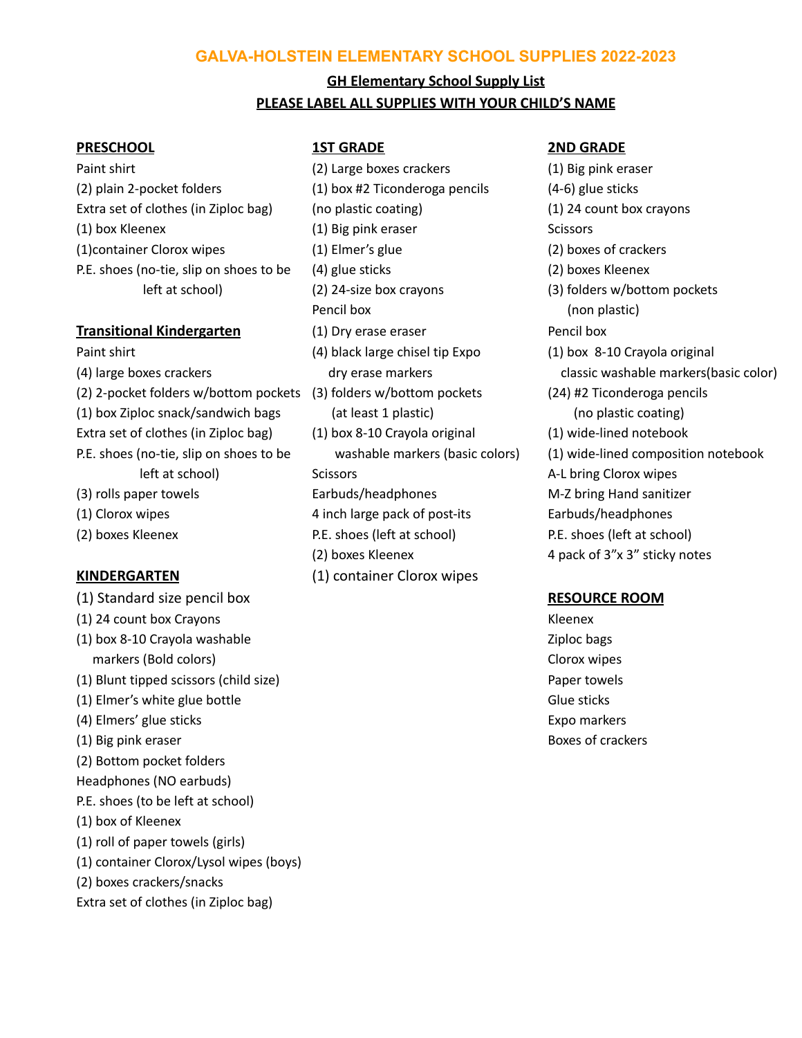## **GALVA-HOLSTEIN ELEMENTARY SCHOOL SUPPLIES 2022-2023**

# **GH Elementary School Supply List PLEASE LABEL ALL SUPPLIES WITH YOUR CHILD'S NAME**

### **PRESCHOOL 1ST GRADE 2ND GRADE**

(2) plain 2-pocket folders (1) box #2 Ticonderoga pencils (4-6) glue sticks Extra set of clothes (in Ziploc bag) (no plastic coating) (1) 24 count box crayons (1) box Kleenex (1) Big pink eraser Scissors (1)container Clorox wipes (1) Elmer's glue (2) boxes of crackers P.E. shoes (no-tie, slip on shoes to be (4) glue sticks (2) boxes Kleenex

- (2) 2-pocket folders w/bottom pockets (3) folders w/bottom pockets (24) #2 Ticonderoga pencils (1) box Ziploc snack/sandwich bags (at least 1 plastic) (no plastic coating) Extra set of clothes (in Ziploc bag) (1) box 8-10 Crayola original (1) wide-lined notebook (3) rolls paper towels Earbuds/headphones M-Z bring Hand sanitizer
- 
- 

- (1) Standard size pencil box **RESOURCE ROOM**
- (1) 24 count box Crayons Kleenex
- (1) box 8-10 Crayola washable **Ziploc bags** Ziploc bags markers (Bold colors) Clorox wipes
- (1) Blunt tipped scissors (child size) Paper towels
- (1) Elmer's white glue bottle Glue sticks (1) Elmer's white glue sticks
- (4) Elmers' glue sticks Expo markers Expo markers Expo markers
- (1) Big pink eraser Boxes of crackers
- (2) Bottom pocket folders
- Headphones (NO earbuds)
- P.E. shoes (to be left at school)
- (1) box of Kleenex
- (1) roll of paper towels (girls)
- (1) container Clorox/Lysol wipes (boys)
- (2) boxes crackers/snacks
- Extra set of clothes (in Ziploc bag)

Paint shirt (2) Large boxes crackers (1) Big pink eraser left at school) (2) 24-size box crayons (3) folders w/bottom pockets Pencil box (non plastic) **Transitional Kindergarten** (1) Dry erase eraser **Pencil box** Paint shirt (4) black large chisel tip Expo (1) box 8-10 Crayola original left at school) Scissors A-L bring Clorox wipes (1) Clorox wipes 4 inch large pack of post-its Earbuds/headphones (2) boxes Kleenex P.E. shoes (left at school) P.E. shoes (left at school) (2) boxes Kleenex  $\overline{4}$  pack of 3"x 3" sticky notes **KINDERGARTEN** (1) container Clorox wipes

(4) large boxes crackers example and the dry erase markers classic washable markers (basic color) P.E. shoes (no-tie, slip on shoes to be washable markers (basic colors) (1) wide-lined composition notebook